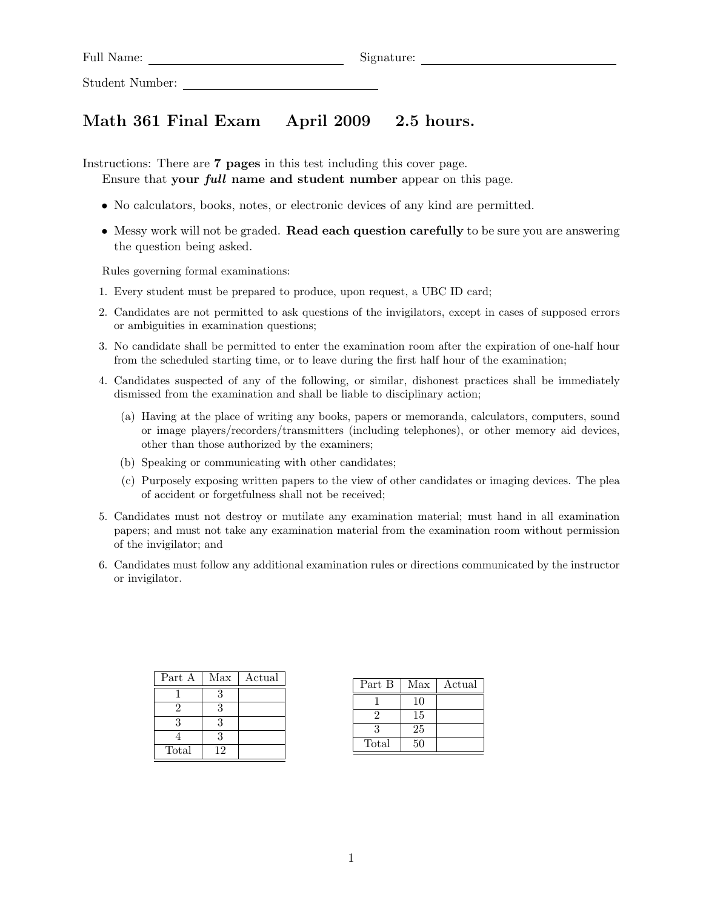Full Name: Signature:

Student Number:

## Math 361 Final Exam April 2009 2.5 hours.

Instructions: There are 7 pages in this test including this cover page.

- Ensure that your full name and student number appear on this page.
- No calculators, books, notes, or electronic devices of any kind are permitted.
- Messy work will not be graded. **Read each question carefully** to be sure you are answering the question being asked.

Rules governing formal examinations:

- 1. Every student must be prepared to produce, upon request, a UBC ID card;
- 2. Candidates are not permitted to ask questions of the invigilators, except in cases of supposed errors or ambiguities in examination questions;
- 3. No candidate shall be permitted to enter the examination room after the expiration of one-half hour from the scheduled starting time, or to leave during the first half hour of the examination;
- 4. Candidates suspected of any of the following, or similar, dishonest practices shall be immediately dismissed from the examination and shall be liable to disciplinary action;
	- (a) Having at the place of writing any books, papers or memoranda, calculators, computers, sound or image players/recorders/transmitters (including telephones), or other memory aid devices, other than those authorized by the examiners;
	- (b) Speaking or communicating with other candidates;
	- (c) Purposely exposing written papers to the view of other candidates or imaging devices. The plea of accident or forgetfulness shall not be received;
- 5. Candidates must not destroy or mutilate any examination material; must hand in all examination papers; and must not take any examination material from the examination room without permission of the invigilator; and
- 6. Candidates must follow any additional examination rules or directions communicated by the instructor or invigilator.

| Part A | Max | Actual |
|--------|-----|--------|
|        |     |        |
|        | 3   |        |
|        | 3   |        |
|        | .,  |        |
| Total  | 19  |        |

| Part B | Max | Actual |
|--------|-----|--------|
|        | 10  |        |
|        | 15  |        |
|        | 25  |        |
| Total  | 50  |        |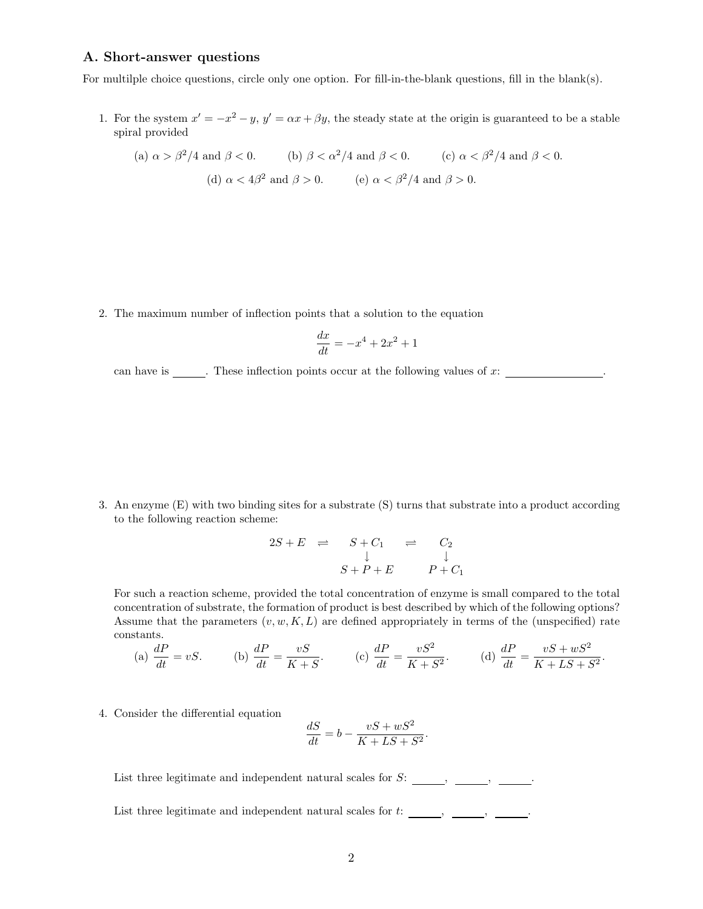## A. Short-answer questions

For multilple choice questions, circle only one option. For fill-in-the-blank questions, fill in the blank(s).

1. For the system  $x' = -x^2 - y$ ,  $y' = \alpha x + \beta y$ , the steady state at the origin is guaranteed to be a stable spiral provided

(a) 
$$
\alpha > \beta^2/4
$$
 and  $\beta < 0$ .  
\n(b)  $\beta < \alpha^2/4$  and  $\beta < 0$ .  
\n(c)  $\alpha < \beta^2/4$  and  $\beta < 0$ .  
\n(d)  $\alpha < 4\beta^2$  and  $\beta > 0$ .  
\n(e)  $\alpha < \beta^2/4$  and  $\beta > 0$ .

2. The maximum number of inflection points that a solution to the equation

$$
\frac{dx}{dt} = -x^4 + 2x^2 + 1
$$

can have is  $\qquad$ . These inflection points occur at the following values of x:

3. An enzyme (E) with two binding sites for a substrate (S) turns that substrate into a product according to the following reaction scheme:

$$
2S + E \quad \rightleftharpoons \quad S + C_1 \quad \rightleftharpoons \quad C_2
$$
\n
$$
\downarrow \qquad \qquad \downarrow
$$
\n
$$
S + P + E \qquad \qquad P + C_1
$$

For such a reaction scheme, provided the total concentration of enzyme is small compared to the total concentration of substrate, the formation of product is best described by which of the following options? Assume that the parameters  $(v, w, K, L)$  are defined appropriately in terms of the (unspecified) rate constants.

(a) 
$$
\frac{dP}{dt} = vS
$$
. (b)  $\frac{dP}{dt} = \frac{vS}{K+S}$ . (c)  $\frac{dP}{dt} = \frac{vS^2}{K+S^2}$ . (d)  $\frac{dP}{dt} = \frac{vS + wS^2}{K+LS+S^2}$ .

4. Consider the differential equation

$$
\frac{dS}{dt} = b - \frac{vS + wS^2}{K + LS + S^2}.
$$

List three legitimate and independent natural scales for  $S:$   $\_\_\_\_$ ,  $\_\_\_\_$ 

List three legitimate and independent natural scales for  $t:$   $\_\_\_\_$ ,  $\_\_\_\_$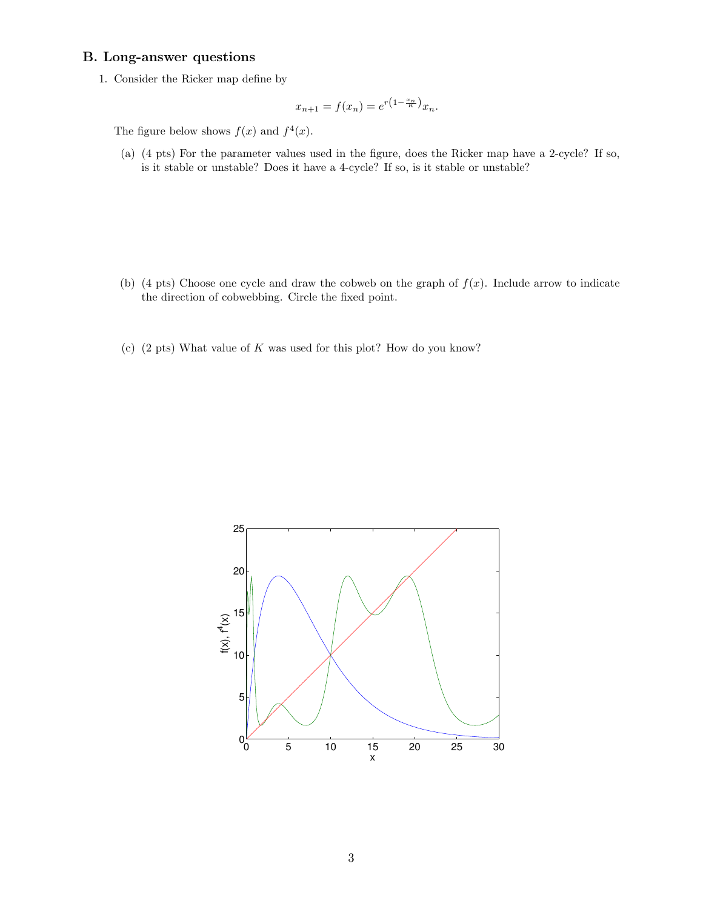## B. Long-answer questions

1. Consider the Ricker map define by

$$
x_{n+1} = f(x_n) = e^{r(1 - \frac{x_n}{K})} x_n.
$$

The figure below shows  $f(x)$  and  $f^{4}(x)$ .

(a) (4 pts) For the parameter values used in the figure, does the Ricker map have a 2-cycle? If so, is it stable or unstable? Does it have a 4-cycle? If so, is it stable or unstable?

- (b) (4 pts) Choose one cycle and draw the cobweb on the graph of  $f(x)$ . Include arrow to indicate the direction of cobwebbing. Circle the fixed point.
- (c)  $(2 \text{ pts})$  What value of K was used for this plot? How do you know?

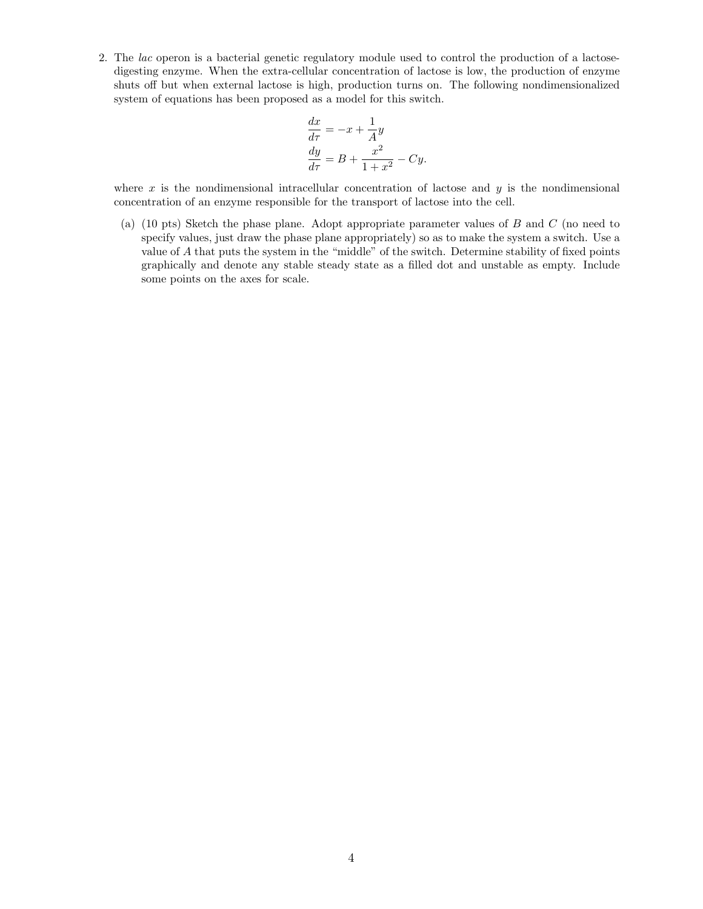2. The lac operon is a bacterial genetic regulatory module used to control the production of a lactosedigesting enzyme. When the extra-cellular concentration of lactose is low, the production of enzyme shuts off but when external lactose is high, production turns on. The following nondimensionalized system of equations has been proposed as a model for this switch.

$$
\frac{dx}{d\tau} = -x + \frac{1}{A}y
$$
  
\n
$$
\frac{dy}{d\tau} = B + \frac{x^2}{1 + x^2} - Cy.
$$

where  $x$  is the nondimensional intracellular concentration of lactose and  $y$  is the nondimensional concentration of an enzyme responsible for the transport of lactose into the cell.

(a) (10 pts) Sketch the phase plane. Adopt appropriate parameter values of B and C (no need to specify values, just draw the phase plane appropriately) so as to make the system a switch. Use a value of A that puts the system in the "middle" of the switch. Determine stability of fixed points graphically and denote any stable steady state as a filled dot and unstable as empty. Include some points on the axes for scale.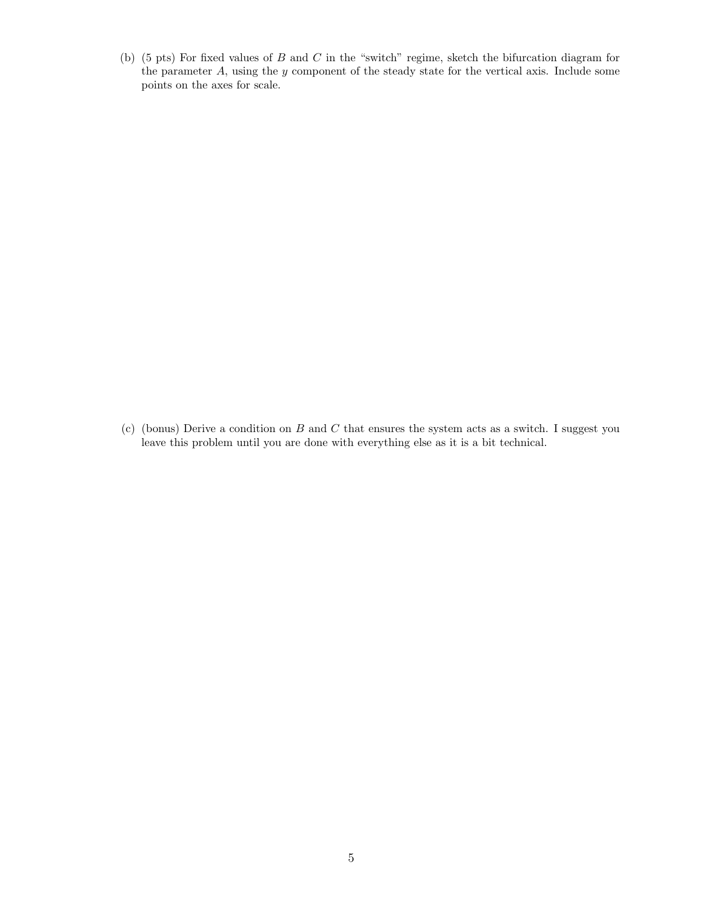(b) (5 pts) For fixed values of  $B$  and  $C$  in the "switch" regime, sketch the bifurcation diagram for the parameter A, using the y component of the steady state for the vertical axis. Include some points on the axes for scale.

(c) (bonus) Derive a condition on  $B$  and  $C$  that ensures the system acts as a switch. I suggest you leave this problem until you are done with everything else as it is a bit technical.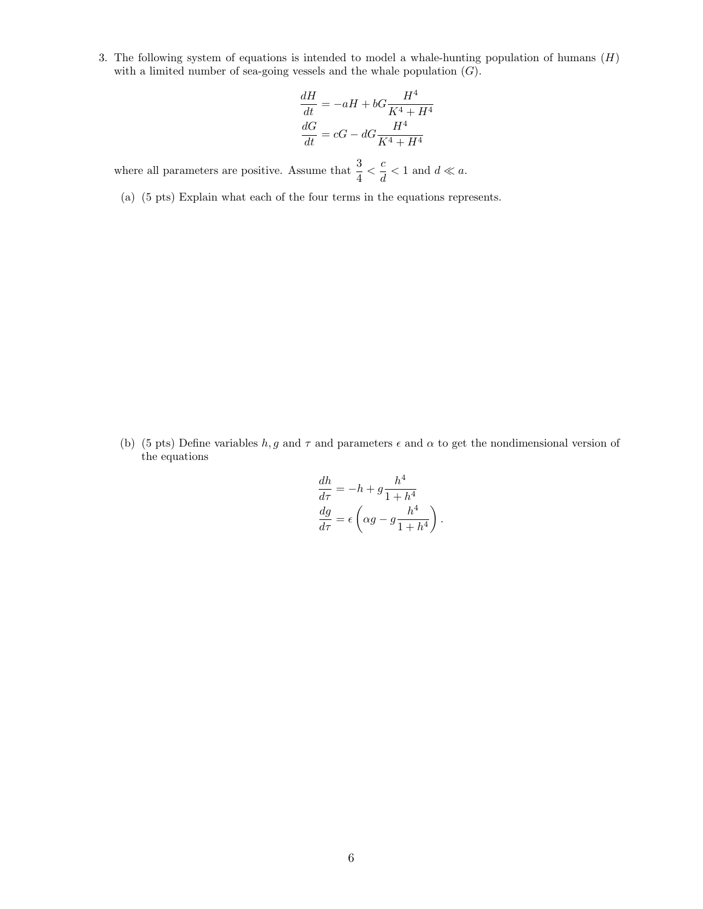3. The following system of equations is intended to model a whale-hunting population of humans  $(H)$ with a limited number of sea-going vessels and the whale population  $(G)$ .

$$
\frac{dH}{dt} = -aH + bG\frac{H^4}{K^4 + H^4}
$$

$$
\frac{dG}{dt} = cG - dG\frac{H^4}{K^4 + H^4}
$$

where all parameters are positive. Assume that  $\frac{3}{4} < \frac{c}{d}$  $\frac{a}{d}$  < 1 and  $d \ll a$ .

(a) (5 pts) Explain what each of the four terms in the equations represents.

(b) (5 pts) Define variables h, g and  $\tau$  and parameters  $\epsilon$  and  $\alpha$  to get the nondimensional version of the equations

$$
\frac{dh}{d\tau} = -h + g \frac{h^4}{1 + h^4}
$$

$$
\frac{dg}{d\tau} = \epsilon \left( \alpha g - g \frac{h^4}{1 + h^4} \right).
$$